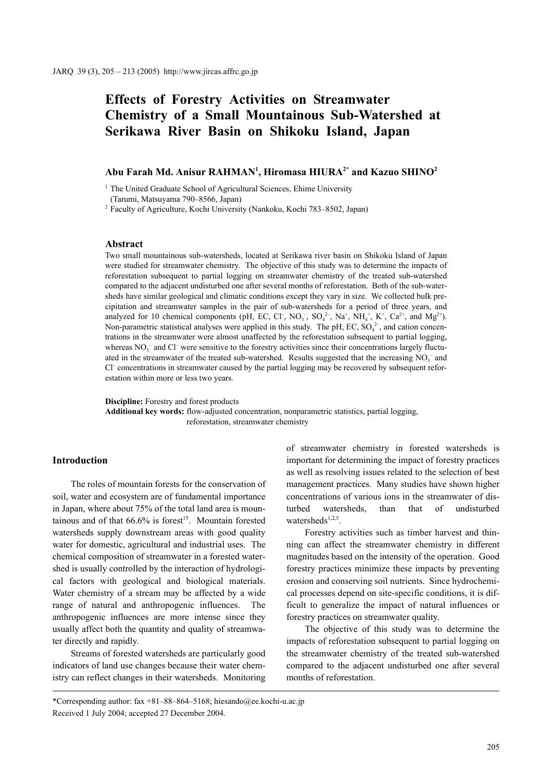# **Effects of Forestry Activities on Streamwater Chemistry of a Small Mountainous Sub-Watershed at Serikawa River Basin on Shikoku Island, Japan**

# **Abu Farah Md. Anisur RAHMAN1 , Hiromasa HIURA2\* and Kazuo SHINO2**

<sup>1</sup> The United Graduate School of Agricultural Sciences, Ehime University

(Tarumi, Matsuyama 790–8566, Japan)

<sup>2</sup> Faculty of Agriculture, Kochi University (Nankoku, Kochi 783–8502, Japan)

## **Abstract**

Two small mountainous sub-watersheds, located at Serikawa river basin on Shikoku Island of Japan were studied for streamwater chemistry. The objective of this study was to determine the impacts of reforestation subsequent to partial logging on streamwater chemistry of the treated sub-watershed compared to the adjacent undisturbed one after several months of reforestation. Both of the sub-watersheds have similar geological and climatic conditions except they vary in size. We collected bulk precipitation and streamwater samples in the pair of sub-watersheds for a period of three years, and analyzed for 10 chemical components (pH, EC, Cl<sup>-</sup>, NO<sub>3</sub><sup>-</sup>, SO<sub>4</sub><sup>2</sup>-, Na<sup>+</sup>, NH<sub>4</sub><sup>+</sup>, K<sup>+</sup>, Ca<sup>2+</sup>, and Mg<sup>2+</sup>). Non-parametric statistical analyses were applied in this study. The pH, EC,  $SO_4^{2-}$ , and cation concentrations in the streamwater were almost unaffected by the reforestation subsequent to partial logging, whereas  $NO_3^-$  and Cl<sup>–</sup> were sensitive to the forestry activities since their concentrations largely fluctuated in the streamwater of the treated sub-watershed. Results suggested that the increasing  $NO<sub>3</sub><sup>-</sup>$  and Cl– concentrations in streamwater caused by the partial logging may be recovered by subsequent reforestation within more or less two years.

**Discipline:** Forestry and forest products

**Additional key words:** flow-adjusted concentration, nonparametric statistics, partial logging, reforestation, streamwater chemistry

# **Introduction**

The roles of mountain forests for the conservation of soil, water and ecosystem are of fundamental importance in Japan, where about 75% of the total land area is mountainous and of that  $66.6\%$  is forest<sup>15</sup>. Mountain forested watersheds supply downstream areas with good quality water for domestic, agricultural and industrial uses. The chemical composition of streamwater in a forested watershed is usually controlled by the interaction of hydrological factors with geological and biological materials. Water chemistry of a stream may be affected by a wide range of natural and anthropogenic influences. The anthropogenic influences are more intense since they usually affect both the quantity and quality of streamwater directly and rapidly.

Streams of forested watersheds are particularly good indicators of land use changes because their water chemistry can reflect changes in their watersheds. Monitoring of streamwater chemistry in forested watersheds is important for determining the impact of forestry practices as well as resolving issues related to the selection of best management practices. Many studies have shown higher concentrations of various ions in the streamwater of disturbed watersheds, than that of undisturbed watersheds $1,2,5$ .

Forestry activities such as timber harvest and thinning can affect the streamwater chemistry in different magnitudes based on the intensity of the operation. Good forestry practices minimize these impacts by preventing erosion and conserving soil nutrients. Since hydrochemical processes depend on site-specific conditions, it is difficult to generalize the impact of natural influences or forestry practices on streamwater quality.

The objective of this study was to determine the impacts of reforestation subsequent to partial logging on the streamwater chemistry of the treated sub-watershed compared to the adjacent undisturbed one after several months of reforestation.

<sup>\*</sup>Corresponding author: fax +81–88–864–5168; hiesando@ee.kochi-u.ac.jp Received 1 July 2004; accepted 27 December 2004.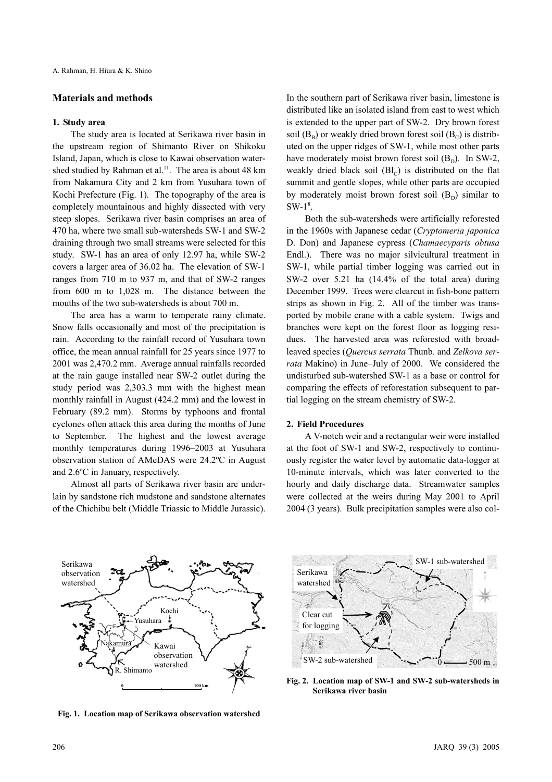## **Materials and methods**

#### **1. Study area**

The study area is located at Serikawa river basin in the upstream region of Shimanto River on Shikoku Island, Japan, which is close to Kawai observation watershed studied by Rahman et al.<sup>11</sup>. The area is about 48 km from Nakamura City and 2 km from Yusuhara town of Kochi Prefecture (Fig. 1). The topography of the area is completely mountainous and highly dissected with very steep slopes. Serikawa river basin comprises an area of 470 ha, where two small sub-watersheds SW-1 and SW-2 draining through two small streams were selected for this study. SW-1 has an area of only 12.97 ha, while SW-2 covers a larger area of 36.02 ha. The elevation of SW-1 ranges from 710 m to 937 m, and that of SW-2 ranges from 600 m to 1,028 m. The distance between the mouths of the two sub-watersheds is about 700 m.

The area has a warm to temperate rainy climate. Snow falls occasionally and most of the precipitation is rain. According to the rainfall record of Yusuhara town office, the mean annual rainfall for 25 years since 1977 to 2001 was 2,470.2 mm. Average annual rainfalls recorded at the rain gauge installed near SW-2 outlet during the study period was 2,303.3 mm with the highest mean monthly rainfall in August (424.2 mm) and the lowest in February (89.2 mm). Storms by typhoons and frontal cyclones often attack this area during the months of June to September. The highest and the lowest average monthly temperatures during 1996–2003 at Yusuhara observation station of AMeDAS were 24.2ºC in August and 2.6ºC in January, respectively.

Almost all parts of Serikawa river basin are underlain by sandstone rich mudstone and sandstone alternates of the Chichibu belt (Middle Triassic to Middle Jurassic). In the southern part of Serikawa river basin, limestone is distributed like an isolated island from east to west which is extended to the upper part of SW-2. Dry brown forest soil  $(B<sub>B</sub>)$  or weakly dried brown forest soil  $(B<sub>C</sub>)$  is distributed on the upper ridges of SW-1, while most other parts have moderately moist brown forest soil  $(B<sub>n</sub>)$ . In SW-2, weakly dried black soil  $(Bl<sub>c</sub>)$  is distributed on the flat summit and gentle slopes, while other parts are occupied by moderately moist brown forest soil  $(B_D)$  similar to  $SW-1^8$ .

Both the sub-watersheds were artificially reforested in the 1960s with Japanese cedar (*Cryptomeria japonica* D. Don) and Japanese cypress (*Chamaecyparis obtusa* Endl.). There was no major silvicultural treatment in SW-1, while partial timber logging was carried out in SW-2 over 5.21 ha (14.4% of the total area) during December 1999. Trees were clearcut in fish-bone pattern strips as shown in Fig. 2. All of the timber was transported by mobile crane with a cable system. Twigs and branches were kept on the forest floor as logging residues. The harvested area was reforested with broadleaved species (*Quercus serrata* Thunb. and *Zelkova serrata* Makino) in June–July of 2000. We considered the undisturbed sub-watershed SW-1 as a base or control for comparing the effects of reforestation subsequent to partial logging on the stream chemistry of SW-2.

## **2. Field Procedures**

A V-notch weir and a rectangular weir were installed at the foot of SW-1 and SW-2, respectively to continuously register the water level by automatic data-logger at 10-minute intervals, which was later converted to the hourly and daily discharge data. Streamwater samples were collected at the weirs during May 2001 to April 2004 (3 years). Bulk precipitation samples were also col-



**Fig. 1. Location map of Serikawa observation watershed**



**Fig. 2. Location map of SW-1 and SW-2 sub-watersheds in Serikawa river basin**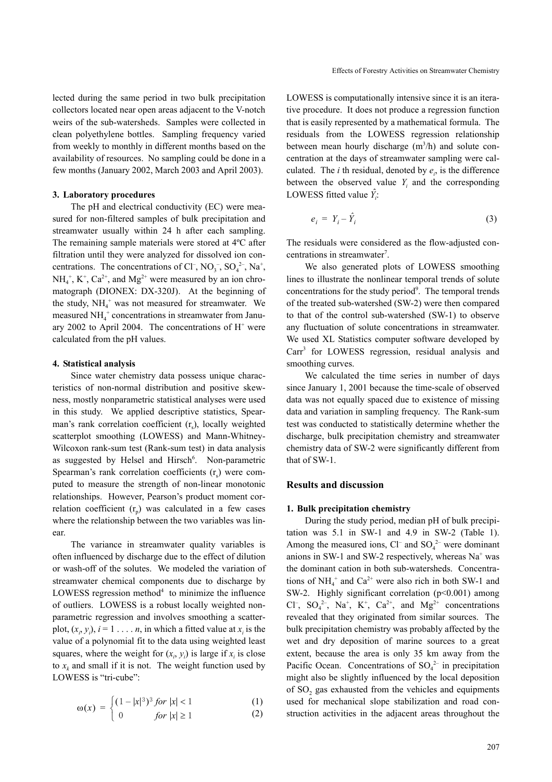lected during the same period in two bulk precipitation collectors located near open areas adjacent to the V-notch weirs of the sub-watersheds. Samples were collected in clean polyethylene bottles. Sampling frequency varied from weekly to monthly in different months based on the availability of resources. No sampling could be done in a few months (January 2002, March 2003 and April 2003).

#### **3. Laboratory procedures**

The pH and electrical conductivity (EC) were measured for non-filtered samples of bulk precipitation and streamwater usually within 24 h after each sampling. The remaining sample materials were stored at 4ºC after filtration until they were analyzed for dissolved ion concentrations. The concentrations of Cl<sup>-</sup>, NO<sub>3</sub><sup>-</sup>, SO<sub>4</sub><sup>2-</sup>, Na<sup>+</sup>,  $NH_4^+$ ,  $K^+$ ,  $Ca^{2+}$ , and  $Mg^{2+}$  were measured by an ion chromatograph (DIONEX: DX-320J). At the beginning of the study,  $NH_4$ <sup>+</sup> was not measured for streamwater. We measured  $NH_4^+$  concentrations in streamwater from January 2002 to April 2004. The concentrations of  $H^+$  were calculated from the pH values.

## **4. Statistical analysis**

Since water chemistry data possess unique characteristics of non-normal distribution and positive skewness, mostly nonparametric statistical analyses were used in this study. We applied descriptive statistics, Spearman's rank correlation coefficient  $(r<sub>s</sub>)$ , locally weighted scatterplot smoothing (LOWESS) and Mann-Whitney-Wilcoxon rank-sum test (Rank-sum test) in data analysis as suggested by Helsel and Hirsch<sup>6</sup>. Non-parametric Spearman's rank correlation coefficients  $(r<sub>s</sub>)$  were computed to measure the strength of non-linear monotonic relationships. However, Pearson's product moment correlation coefficient  $(r_n)$  was calculated in a few cases where the relationship between the two variables was linear.

The variance in streamwater quality variables is often influenced by discharge due to the effect of dilution or wash-off of the solutes. We modeled the variation of streamwater chemical components due to discharge by LOWESS regression method $4$  to minimize the influence of outliers. LOWESS is a robust locally weighted nonparametric regression and involves smoothing a scatterplot,  $(x_i, y_i)$ ,  $i = 1, \ldots, n$ , in which a fitted value at  $x_i$  is the value of a polynomial fit to the data using weighted least squares, where the weight for  $(x_i, y_i)$  is large if  $x_i$  is close to  $x_k$  and small if it is not. The weight function used by LOWESS is "tri-cube":

$$
\omega(x) = \begin{cases} (1-|x|^3)^3 & \text{for } |x| < 1\\ 1 < 1 \end{cases} \tag{1}
$$

$$
p(x) = \begin{cases} 0 & \text{for } |x| \ge 1 \\ 0 & \text{for } |x| \ge 1 \end{cases}
$$
 (2)

LOWESS is computationally intensive since it is an iterative procedure. It does not produce a regression function that is easily represented by a mathematical formula. The residuals from the LOWESS regression relationship between mean hourly discharge  $(m^3/h)$  and solute concentration at the days of streamwater sampling were calculated. The *i* th residual, denoted by  $e_i$ , is the difference between the observed value  $Y_i$  and the corresponding LOWESS fitted value  $\hat{Y}_i$ :

$$
e_i = Y_i - \hat{Y}_i \tag{3}
$$

The residuals were considered as the flow-adjusted concentrations in streamwater<sup>7</sup>.

We also generated plots of LOWESS smoothing lines to illustrate the nonlinear temporal trends of solute concentrations for the study period<sup>9</sup>. The temporal trends of the treated sub-watershed (SW-2) were then compared to that of the control sub-watershed (SW-1) to observe any fluctuation of solute concentrations in streamwater. We used XL Statistics computer software developed by Carr<sup>3</sup> for LOWESS regression, residual analysis and smoothing curves.

We calculated the time series in number of days since January 1, 2001 because the time-scale of observed data was not equally spaced due to existence of missing data and variation in sampling frequency. The Rank-sum test was conducted to statistically determine whether the discharge, bulk precipitation chemistry and streamwater chemistry data of SW-2 were significantly different from that of SW-1.

# **Results and discussion**

#### **1. Bulk precipitation chemistry**

During the study period, median pH of bulk precipitation was 5.1 in SW-1 and 4.9 in SW-2 (Table 1). Among the measured ions, Cl<sup>–</sup> and  $SO_4^2$ <sup>-</sup> were dominant anions in SW-1 and SW-2 respectively, whereas  $Na<sup>+</sup>$  was the dominant cation in both sub-watersheds. Concentrations of  $NH_4^+$  and  $Ca^{2+}$  were also rich in both SW-1 and SW-2. Highly significant correlation (p<0.001) among Cl<sup>-</sup>, SO<sub>4</sub><sup>2-</sup>, Na<sup>+</sup>, K<sup>+</sup>, Ca<sup>2+</sup>, and Mg<sup>2+</sup> concentrations revealed that they originated from similar sources. The bulk precipitation chemistry was probably affected by the wet and dry deposition of marine sources to a great extent, because the area is only 35 km away from the Pacific Ocean. Concentrations of  $SO_4^2$  in precipitation might also be slightly influenced by the local deposition of SO<sub>2</sub> gas exhausted from the vehicles and equipments used for mechanical slope stabilization and road construction activities in the adjacent areas throughout the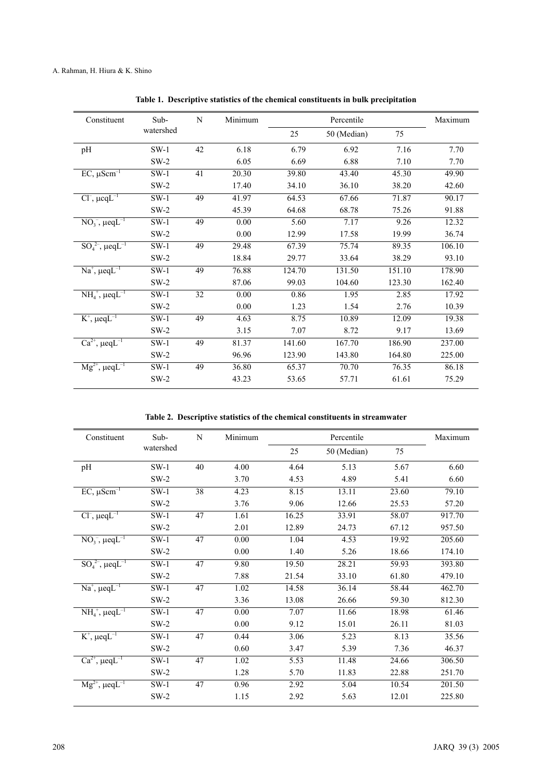| Constituent                                      | Sub-      | N  | Minimum |        | Percentile  |        | Maximum |
|--------------------------------------------------|-----------|----|---------|--------|-------------|--------|---------|
|                                                  | watershed |    |         | 25     | 50 (Median) | 75     |         |
| pH                                               | $SW-1$    | 42 | 6.18    | 6.79   | 6.92        | 7.16   | 7.70    |
|                                                  | $SW-2$    |    | 6.05    | 6.69   | 6.88        | 7.10   | 7.70    |
| $EC, \mu Scm^{-1}$                               | $SW-1$    | 41 | 20.30   | 39.80  | 43.40       | 45.30  | 49.90   |
|                                                  | $SW-2$    |    | 17.40   | 34.10  | 36.10       | 38.20  | 42.60   |
| $Cl^-$ , $\mu$ cq $L^{-1}$                       | $SW-1$    | 49 | 41.97   | 64.53  | 67.66       | 71.87  | 90.17   |
|                                                  | $SW-2$    |    | 45.39   | 64.68  | 68.78       | 75.26  | 91.88   |
| $NO_3^-$ , $\mu$ eq $L^{-1}$                     | $SW-1$    | 49 | 0.00    | 5.60   | 7.17        | 9.26   | 12.32   |
|                                                  | $SW-2$    |    | 0.00    | 12.99  | 17.58       | 19.99  | 36.74   |
| $\overline{SO_4^{2-}}$ , $\mu$ eqL <sup>-1</sup> | $SW-1$    | 49 | 29.48   | 67.39  | 75.74       | 89.35  | 106.10  |
|                                                  | $SW-2$    |    | 18.84   | 29.77  | 33.64       | 38.29  | 93.10   |
| $Na^+$ , $\mu$ eq $L^{-1}$                       | $SW-1$    | 49 | 76.88   | 124.70 | 131.50      | 151.10 | 178.90  |
|                                                  | $SW-2$    |    | 87.06   | 99.03  | 104.60      | 123.30 | 162.40  |
| $NH4+, \mu eqL-1$                                | $SW-1$    | 32 | 0.00    | 0.86   | 1.95        | 2.85   | 17.92   |
|                                                  | $SW-2$    |    | 0.00    | 1.23   | 1.54        | 2.76   | 10.39   |
| $K^+$ , $\mu$ eq $L^{-1}$                        | $SW-1$    | 49 | 4.63    | 8.75   | 10.89       | 12.09  | 19.38   |
|                                                  | $SW-2$    |    | 3.15    | 7.07   | 8.72        | 9.17   | 13.69   |
| $Ca^{2+}$ , $\mu$ eq $L^{-1}$                    | $SW-1$    | 49 | 81.37   | 141.60 | 167.70      | 186.90 | 237.00  |
|                                                  | $SW-2$    |    | 96.96   | 123.90 | 143.80      | 164.80 | 225.00  |
| $Mg^{2+}$ , $\mu$ eq $L^{-1}$                    | $SW-1$    | 49 | 36.80   | 65.37  | 70.70       | 76.35  | 86.18   |
|                                                  | $SW-2$    |    | 43.23   | 53.65  | 57.71       | 61.61  | 75.29   |

**Table 1. Descriptive statistics of the chemical constituents in bulk precipitation**

**Table 2. Descriptive statistics of the chemical constituents in streamwater**

| Constituent                                     | Sub-      | N  | Minimum |       | Percentile  |       | Maximum |
|-------------------------------------------------|-----------|----|---------|-------|-------------|-------|---------|
|                                                 | watershed |    |         | 25    | 50 (Median) | 75    |         |
| pH                                              | $SW-1$    | 40 | 4.00    | 4.64  | 5.13        | 5.67  | 6.60    |
|                                                 | $SW-2$    |    | 3.70    | 4.53  | 4.89        | 5.41  | 6.60    |
| $EC, \mu Scm^{-1}$                              | $SW-1$    | 38 | 4.23    | 8.15  | 13.11       | 23.60 | 79.10   |
|                                                 | $SW-2$    |    | 3.76    | 9.06  | 12.66       | 25.53 | 57.20   |
| $Cl^{-}$ , $\mu$ eq $L^{-1}$                    | $SW-1$    | 47 | 1.61    | 16.25 | 33.91       | 58.07 | 917.70  |
|                                                 | $SW-2$    |    | 2.01    | 12.89 | 24.73       | 67.12 | 957.50  |
| $NO_3^-$ , $\mu$ eq $L^{-1}$                    | $SW-1$    | 47 | 0.00    | 1.04  | 4.53        | 19.92 | 205.60  |
|                                                 | $SW-2$    |    | 0.00    | 1.40  | 5.26        | 18.66 | 174.10  |
| $SO_4^{2-}$ , $\mu$ eq $L^{-1}$                 | $SW-1$    | 47 | 9.80    | 19.50 | 28.21       | 59.93 | 393.80  |
|                                                 | $SW-2$    |    | 7.88    | 21.54 | 33.10       | 61.80 | 479.10  |
| $Na^+$ , $\mu$ eq $L^{-1}$                      | $SW-1$    | 47 | 1.02    | 14.58 | 36.14       | 58.44 | 462.70  |
|                                                 | $SW-2$    |    | 3.36    | 13.08 | 26.66       | 59.30 | 812.30  |
| $NH4+, \mu eqL-1$                               | $SW-1$    | 47 | 0.00    | 7.07  | 11.66       | 18.98 | 61.46   |
|                                                 | $SW-2$    |    | 0.00    | 9.12  | 15.01       | 26.11 | 81.03   |
| $K^+$ , $\mu$ eq $L^{-1}$                       | $SW-1$    | 47 | 0.44    | 3.06  | 5.23        | 8.13  | 35.56   |
|                                                 | $SW-2$    |    | 0.60    | 3.47  | 5.39        | 7.36  | 46.37   |
| $Ca^{2+}$ , $\mu$ eq $L^{-1}$                   | $SW-1$    | 47 | 1.02    | 5.53  | 11.48       | 24.66 | 306.50  |
|                                                 | $SW-2$    |    | 1.28    | 5.70  | 11.83       | 22.88 | 251.70  |
| $\overline{\text{Mg}^{2+}}$ , $\mu$ eq $L^{-1}$ | $SW-1$    | 47 | 0.96    | 2.92  | 5.04        | 10.54 | 201.50  |
|                                                 | $SW-2$    |    | 1.15    | 2.92  | 5.63        | 12.01 | 225.80  |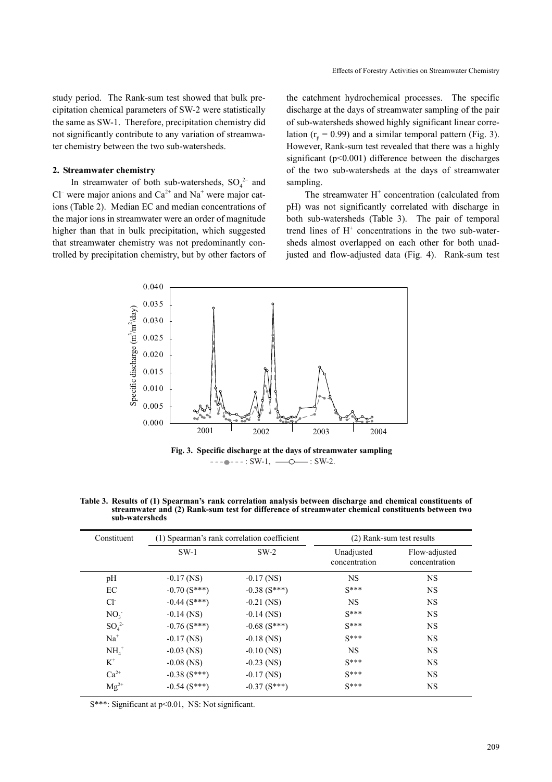study period. The Rank-sum test showed that bulk precipitation chemical parameters of SW-2 were statistically the same as SW-1. Therefore, precipitation chemistry did not significantly contribute to any variation of streamwater chemistry between the two sub-watersheds.

## **2. Streamwater chemistry**

In streamwater of both sub-watersheds,  $SO_4^2$  and Cl<sup>–</sup> were major anions and  $Ca^{2+}$  and  $Na^{+}$  were major cations (Table 2). Median EC and median concentrations of the major ions in streamwater were an order of magnitude higher than that in bulk precipitation, which suggested that streamwater chemistry was not predominantly controlled by precipitation chemistry, but by other factors of the catchment hydrochemical processes. The specific discharge at the days of streamwater sampling of the pair of sub-watersheds showed highly significant linear correlation  $(r_n = 0.99)$  and a similar temporal pattern (Fig. 3). However, Rank-sum test revealed that there was a highly significant ( $p<0.001$ ) difference between the discharges of the two sub-watersheds at the days of streamwater sampling.

The streamwater  $H^+$  concentration (calculated from pH) was not significantly correlated with discharge in both sub-watersheds (Table 3). The pair of temporal trend lines of H<sup>+</sup> concentrations in the two sub-watersheds almost overlapped on each other for both unadjusted and flow-adjusted data (Fig. 4). Rank-sum test



 $\bullet$  - - - : SW-1,  $\_\_\_\_\_$  : SW-2.

| Constituent     |                | (1) Spearman's rank correlation coefficient | (2) Rank-sum test results   |                                |  |
|-----------------|----------------|---------------------------------------------|-----------------------------|--------------------------------|--|
|                 | $SW-1$         | $SW-2$                                      | Unadjusted<br>concentration | Flow-adjusted<br>concentration |  |
| pH              | $-0.17$ (NS)   | $-0.17$ (NS)                                | <b>NS</b>                   | <b>NS</b>                      |  |
| EC              | $-0.70$ (S***) | $-0.38(S***)$                               | $S***$                      | <b>NS</b>                      |  |
| $Cl-$           | $-0.44(S***)$  | $-0.21$ (NS)                                | <b>NS</b>                   | <b>NS</b>                      |  |
| NO <sub>3</sub> | $-0.14$ (NS)   | $-0.14$ (NS)                                | $S***$                      | <b>NS</b>                      |  |
| $SO_4^2$        | $-0.76$ (S***) | $-0.68$ (S***)                              | $S***$                      | <b>NS</b>                      |  |
| $Na+$           | $-0.17$ (NS)   | $-0.18$ (NS)                                | $S***$                      | <b>NS</b>                      |  |
| $NH4+$          | $-0.03$ (NS)   | $-0.10$ (NS)                                | <b>NS</b>                   | <b>NS</b>                      |  |
| $K^+$           | $-0.08$ (NS)   | $-0.23$ (NS)                                | $S***$                      | <b>NS</b>                      |  |
| $Ca^{2+}$       | $-0.38(S***)$  | $-0.17$ (NS)                                | $S***$                      | <b>NS</b>                      |  |
| $Mg^{2+}$       | $-0.54$ (S***) | $-0.37(S***)$                               | $S***$                      | <b>NS</b>                      |  |

**Table 3. Results of (1) Spearman's rank correlation analysis between discharge and chemical constituents of streamwater and (2) Rank-sum test for difference of streamwater chemical constituents between two sub-watersheds** 

S\*\*\*: Significant at p<0.01, NS: Not significant.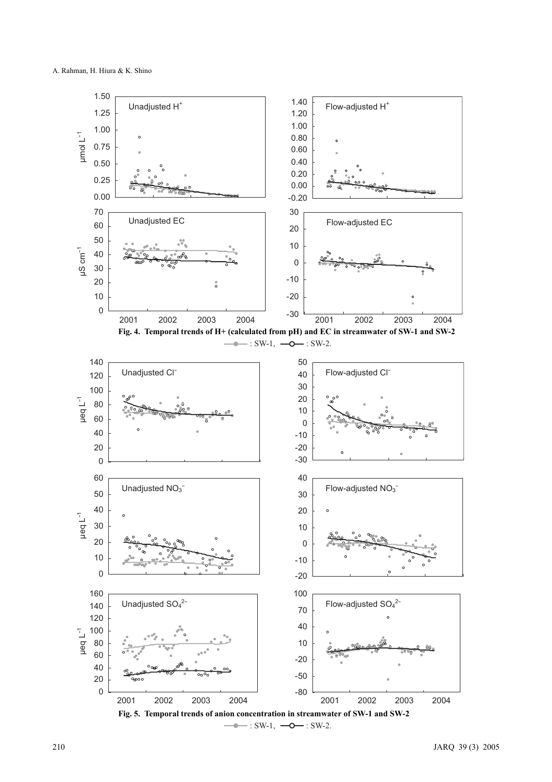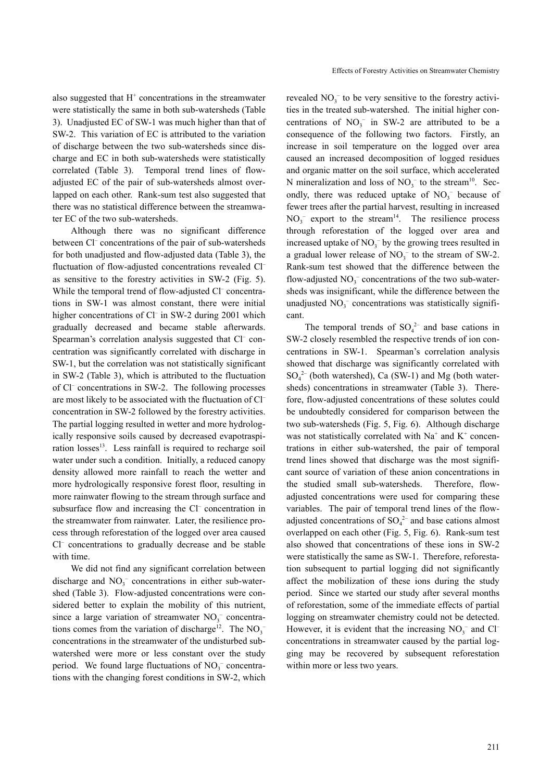also suggested that  $H^+$  concentrations in the streamwater were statistically the same in both sub-watersheds (Table 3). Unadjusted EC of SW-1 was much higher than that of SW-2. This variation of EC is attributed to the variation of discharge between the two sub-watersheds since discharge and EC in both sub-watersheds were statistically correlated (Table 3). Temporal trend lines of flowadjusted EC of the pair of sub-watersheds almost overlapped on each other. Rank-sum test also suggested that there was no statistical difference between the streamwater EC of the two sub-watersheds.

Although there was no significant difference between Cl<sup>-</sup> concentrations of the pair of sub-watersheds for both unadjusted and flow-adjusted data (Table 3), the fluctuation of flow-adjusted concentrations revealed Cl– as sensitive to the forestry activities in SW-2 (Fig. 5). While the temporal trend of flow-adjusted Cl<sup>-</sup> concentrations in SW-1 was almost constant, there were initial higher concentrations of Cl<sup>-</sup> in SW-2 during 2001 which gradually decreased and became stable afterwards. Spearman's correlation analysis suggested that Cl<sup>-</sup> concentration was significantly correlated with discharge in SW-1, but the correlation was not statistically significant in SW-2 (Table 3), which is attributed to the fluctuation of Cl– concentrations in SW-2. The following processes are most likely to be associated with the fluctuation of Cl– concentration in SW-2 followed by the forestry activities. The partial logging resulted in wetter and more hydrologically responsive soils caused by decreased evapotraspiration losses<sup>13</sup>. Less rainfall is required to recharge soil water under such a condition. Initially, a reduced canopy density allowed more rainfall to reach the wetter and more hydrologically responsive forest floor, resulting in more rainwater flowing to the stream through surface and subsurface flow and increasing the Cl<sup>-</sup> concentration in the streamwater from rainwater. Later, the resilience process through reforestation of the logged over area caused Cl– concentrations to gradually decrease and be stable with time.

We did not find any significant correlation between discharge and  $NO<sub>3</sub><sup>-</sup>$  concentrations in either sub-watershed (Table 3). Flow-adjusted concentrations were considered better to explain the mobility of this nutrient, since a large variation of streamwater  $NO<sub>3</sub><sup>-</sup>$  concentrations comes from the variation of discharge<sup>12</sup>. The  $NO_3^$ concentrations in the streamwater of the undisturbed subwatershed were more or less constant over the study period. We found large fluctuations of  $NO<sub>3</sub><sup>-</sup>$  concentrations with the changing forest conditions in SW-2, which

revealed  $NO<sub>3</sub><sup>-</sup>$  to be very sensitive to the forestry activities in the treated sub-watershed. The initial higher concentrations of  $NO<sub>3</sub><sup>-</sup>$  in SW-2 are attributed to be a consequence of the following two factors. Firstly, an increase in soil temperature on the logged over area caused an increased decomposition of logged residues and organic matter on the soil surface, which accelerated N mineralization and loss of  $NO<sub>3</sub><sup>-</sup>$  to the stream<sup>10</sup>. Secondly, there was reduced uptake of  $NO<sub>3</sub><sup>-</sup>$  because of fewer trees after the partial harvest, resulting in increased  $NO<sub>3</sub><sup>-</sup>$  export to the stream<sup>14</sup>. The resilience process through reforestation of the logged over area and increased uptake of  $NO<sub>3</sub><sup>-</sup>$  by the growing trees resulted in a gradual lower release of  $NO<sub>3</sub><sup>-</sup>$  to the stream of SW-2. Rank-sum test showed that the difference between the flow-adjusted  $NO_3^-$  concentrations of the two sub-watersheds was insignificant, while the difference between the unadjusted  $NO<sub>3</sub><sup>-</sup>$  concentrations was statistically significant.

The temporal trends of  $SO_4^2$  and base cations in SW-2 closely resembled the respective trends of ion concentrations in SW-1. Spearman's correlation analysis showed that discharge was significantly correlated with  $SO_4^2$  (both watershed), Ca (SW-1) and Mg (both watersheds) concentrations in streamwater (Table 3). Therefore, flow-adjusted concentrations of these solutes could be undoubtedly considered for comparison between the two sub-watersheds (Fig. 5, Fig. 6). Although discharge was not statistically correlated with  $Na^+$  and  $K^+$  concentrations in either sub-watershed, the pair of temporal trend lines showed that discharge was the most significant source of variation of these anion concentrations in the studied small sub-watersheds. Therefore, flowadjusted concentrations were used for comparing these variables. The pair of temporal trend lines of the flowadjusted concentrations of  $SO_4^2$  and base cations almost overlapped on each other (Fig. 5, Fig. 6). Rank-sum test also showed that concentrations of these ions in SW-2 were statistically the same as SW-1. Therefore, reforestation subsequent to partial logging did not significantly affect the mobilization of these ions during the study period. Since we started our study after several months of reforestation, some of the immediate effects of partial logging on streamwater chemistry could not be detected. However, it is evident that the increasing  $NO<sub>3</sub><sup>-</sup>$  and Cl<sup>-</sup> concentrations in streamwater caused by the partial logging may be recovered by subsequent reforestation within more or less two years.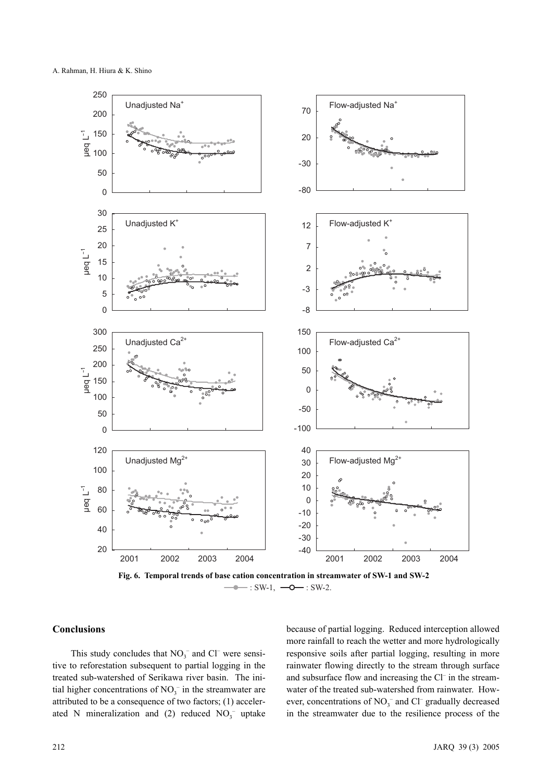

 $\leftarrow : SW-1, \leftarrow \leftarrow : SW-2.$ 

# **Conclusions**

This study concludes that  $NO<sub>3</sub><sup>-</sup>$  and Cl<sup>-</sup> were sensitive to reforestation subsequent to partial logging in the treated sub-watershed of Serikawa river basin. The initial higher concentrations of  $NO<sub>3</sub><sup>-</sup>$  in the streamwater are attributed to be a consequence of two factors; (1) accelerated N mineralization and (2) reduced  $NO<sub>3</sub><sup>-</sup>$  uptake

because of partial logging. Reduced interception allowed more rainfall to reach the wetter and more hydrologically responsive soils after partial logging, resulting in more rainwater flowing directly to the stream through surface and subsurface flow and increasing the Cl– in the streamwater of the treated sub-watershed from rainwater. However, concentrations of  $NO_3^-$  and  $Cl^-$  gradually decreased in the streamwater due to the resilience process of the